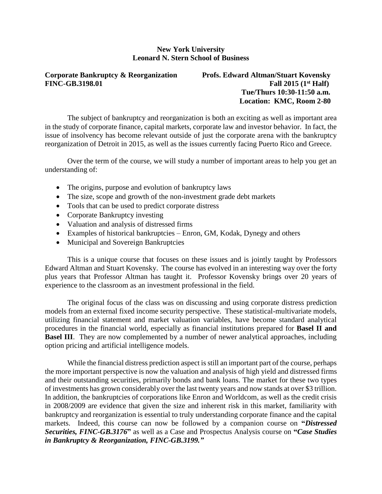## **New York University Leonard N. Stern School of Business**

#### **Corporate Bankruptcy & Reorganization Profs. Edward Altman/Stuart Kovensky**  $FINC-GB.3198.01$

Fall  $2015$   $(1<sup>st</sup>$  **Half**)  **Tue/Thurs 10:30-11:50 a.m. Location: KMC, Room 2-80**

The subject of bankruptcy and reorganization is both an exciting as well as important area in the study of corporate finance, capital markets, corporate law and investor behavior. In fact, the issue of insolvency has become relevant outside of just the corporate arena with the bankruptcy reorganization of Detroit in 2015, as well as the issues currently facing Puerto Rico and Greece.

Over the term of the course, we will study a number of important areas to help you get an understanding of:

- The origins, purpose and evolution of bankruptcy laws
- The size, scope and growth of the non-investment grade debt markets
- Tools that can be used to predict corporate distress
- Corporate Bankruptcy investing
- Valuation and analysis of distressed firms
- Examples of historical bankruptcies Enron, GM, Kodak, Dynegy and others
- Municipal and Sovereign Bankruptcies

This is a unique course that focuses on these issues and is jointly taught by Professors Edward Altman and Stuart Kovensky. The course has evolved in an interesting way over the forty plus years that Professor Altman has taught it. Professor Kovensky brings over 20 years of experience to the classroom as an investment professional in the field.

The original focus of the class was on discussing and using corporate distress prediction models from an external fixed income security perspective. These statistical-multivariate models, utilizing financial statement and market valuation variables, have become standard analytical procedures in the financial world, especially as financial institutions prepared for **Basel II and Basel III**. They are now complemented by a number of newer analytical approaches, including option pricing and artificial intelligence models.

While the financial distress prediction aspect is still an important part of the course, perhaps the more important perspective is now the valuation and analysis of high yield and distressed firms and their outstanding securities, primarily bonds and bank loans. The market for these two types of investments has grown considerably over the last twenty years and now stands at over \$3 trillion. In addition, the bankruptcies of corporations like Enron and Worldcom, as well as the credit crisis in 2008/2009 are evidence that given the size and inherent risk in this market, familiarity with bankruptcy and reorganization is essential to truly understanding corporate finance and the capital markets. Indeed, this course can now be followed by a companion course on **"***Distressed Securities, FINC-GB.3176***"** as well as a Case and Prospectus Analysis course on **"***Case Studies in Bankruptcy & Reorganization, FINC-GB.3199."*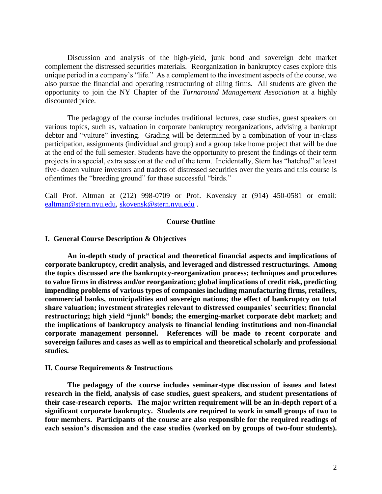Discussion and analysis of the high-yield, junk bond and sovereign debt market complement the distressed securities materials. Reorganization in bankruptcy cases explore this unique period in a company's "life." As a complement to the investment aspects of the course, we also pursue the financial and operating restructuring of ailing firms. All students are given the opportunity to join the NY Chapter of the *Turnaround Management Association* at a highly discounted price.

The pedagogy of the course includes traditional lectures, case studies, guest speakers on various topics, such as, valuation in corporate bankruptcy reorganizations, advising a bankrupt debtor and "vulture" investing. Grading will be determined by a combination of your in-class participation, assignments (individual and group) and a group take home project that will be due at the end of the full semester. Students have the opportunity to present the findings of their term projects in a special, extra session at the end of the term. Incidentally, Stern has "hatched" at least five- dozen vulture investors and traders of distressed securities over the years and this course is oftentimes the "breeding ground" for these successful "birds."

Call Prof. Altman at (212) 998-0709 or Prof. Kovensky at (914) 450-0581 or email: [ealtman@stern.nyu.edu,](mailto:ealtman@stern.nyu.edu) [skovensk@stern.nyu.edu](mailto:skovensk@stern.nyu.edu) .

#### **Course Outline**

#### **I. General Course Description & Objectives**

**An in-depth study of practical and theoretical financial aspects and implications of corporate bankruptcy, credit analysis, and leveraged and distressed restructurings. Among the topics discussed are the bankruptcy-reorganization process; techniques and procedures to value firms in distress and/or reorganization; global implications of credit risk, predicting impending problems of various types of companies including manufacturing firms, retailers, commercial banks, municipalities and sovereign nations; the effect of bankruptcy on total share valuation; investment strategies relevant to distressed companies' securities; financial restructuring; high yield "junk" bonds; the emerging-market corporate debt market; and the implications of bankruptcy analysis to financial lending institutions and non-financial corporate management personnel. References will be made to recent corporate and sovereign failures and cases as well as to empirical and theoretical scholarly and professional studies.**

#### **II. Course Requirements & Instructions**

**The pedagogy of the course includes seminar-type discussion of issues and latest research in the field, analysis of case studies, guest speakers, and student presentations of their case-research reports. The major written requirement will be an in-depth report of a significant corporate bankruptcy. Students are required to work in small groups of two to four members. Participants of the course are also responsible for the required readings of each session's discussion and the case studies (worked on by groups of two-four students).**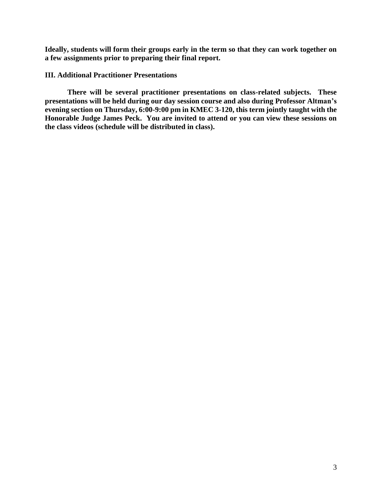**Ideally, students will form their groups early in the term so that they can work together on a few assignments prior to preparing their final report.** 

#### **III. Additional Practitioner Presentations**

**There will be several practitioner presentations on class-related subjects. These presentations will be held during our day session course and also during Professor Altman's evening section on Thursday, 6:00-9:00 pm in KMEC 3-120, this term jointly taught with the Honorable Judge James Peck. You are invited to attend or you can view these sessions on the class videos (schedule will be distributed in class).**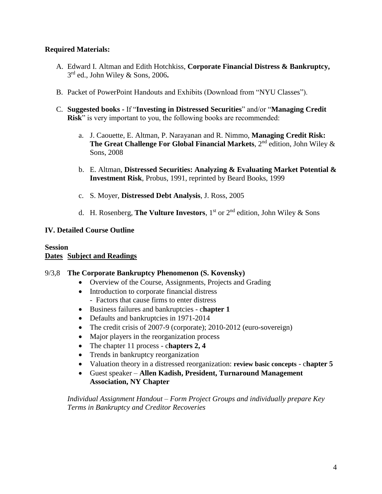# **Required Materials:**

- A. Edward I. Altman and Edith Hotchkiss, **Corporate Financial Distress & Bankruptcy,**  3 rd ed., John Wiley & Sons, 2006**.**
- B. Packet of PowerPoint Handouts and Exhibits (Download from "NYU Classes").
- C. **Suggested books -** If "**Investing in Distressed Securities**" and/or "**Managing Credit Risk**" is very important to you, the following books are recommended:
	- a. J. Caouette, E. Altman, P. Narayanan and R. Nimmo, **Managing Credit Risk: The Great Challenge For Global Financial Markets**,  $2^{nd}$  edition, John Wiley  $\&$ Sons, 2008
	- b. E. Altman, **Distressed Securities: Analyzing & Evaluating Market Potential & Investment Risk**, Probus, 1991, reprinted by Beard Books, 1999
	- c. S. Moyer, **Distressed Debt Analysis**, J. Ross, 2005
	- d. H. Rosenberg, **The Vulture Investors**, 1 st or 2nd edition, John Wiley & Sons

## **IV. Detailed Course Outline**

## **Session Dates Subject and Readings**

## 9/3,8 **The Corporate Bankruptcy Phenomenon (S. Kovensky)**

- Overview of the Course, Assignments, Projects and Grading
- Introduction to corporate financial distress - Factors that cause firms to enter distress
- Business failures and bankruptcies c**hapter 1**
- Defaults and bankruptcies in 1971-2014
- The credit crisis of 2007-9 (corporate); 2010-2012 (euro-sovereign)
- Major players in the reorganization process
- The chapter 11 process c**hapters 2, 4**
- Trends in bankruptcy reorganization
- Valuation theory in a distressed reorganization: **review basic concepts** c**hapter 5**
- Guest speaker **Allen Kadish, President, Turnaround Management Association, NY Chapter**

*Individual Assignment Handout – Form Project Groups and individually prepare Key Terms in Bankruptcy and Creditor Recoveries*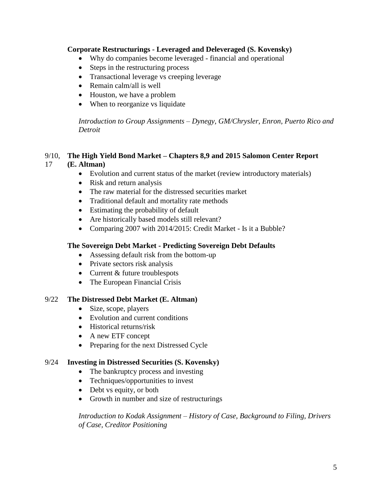# **Corporate Restructurings - Leveraged and Deleveraged (S. Kovensky)**

- Why do companies become leveraged financial and operational
- Steps in the restructuring process
- Transactional leverage vs creeping leverage
- Remain calm/all is well
- Houston, we have a problem
- When to reorganize vs liquidate

*Introduction to Group Assignments – Dynegy, GM/Chrysler, Enron, Puerto Rico and Detroit*

# 9/10, **The High Yield Bond Market – Chapters 8,9 and 2015 Salomon Center Report**

# 17 **(E. Altman)**

- Evolution and current status of the market (review introductory materials)
- Risk and return analysis
- The raw material for the distressed securities market
- Traditional default and mortality rate methods
- Estimating the probability of default
- Are historically based models still relevant?
- Comparing 2007 with 2014/2015: Credit Market Is it a Bubble?

## **The Sovereign Debt Market - Predicting Sovereign Debt Defaults**

- Assessing default risk from the bottom-up
- Private sectors risk analysis
- Current & future troublespots
- The European Financial Crisis

## 9/22 **The Distressed Debt Market (E. Altman)**

- Size, scope, players
- Evolution and current conditions
- Historical returns/risk
- A new ETF concept
- Preparing for the next Distressed Cycle

## 9/24 **Investing in Distressed Securities (S. Kovensky)**

- The bankruptcy process and investing
- Techniques/opportunities to invest
- Debt vs equity, or both
- Growth in number and size of restructurings

*Introduction to Kodak Assignment – History of Case, Background to Filing, Drivers of Case, Creditor Positioning*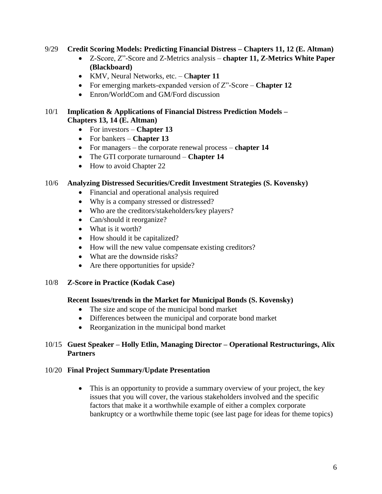## 9/29 **Credit Scoring Models: Predicting Financial Distress – Chapters 11, 12 (E. Altman)**

- Z-Score, Z"-Score and Z-Metrics analysis **chapter 11, Z-Metrics White Paper (Blackboard)**
- KMV, Neural Networks, etc. C**hapter 11**
- For emerging markets-expanded version of Z"-Score **Chapter 12**
- Enron/WorldCom and GM/Ford discussion

## 10/1 **Implication & Applications of Financial Distress Prediction Models – Chapters 13, 14 (E. Altman)**

- For investors **Chapter 13**
- For bankers **Chapter 13**
- For managers the corporate renewal process **chapter 14**
- The GTI corporate turnaround **Chapter 14**
- How to avoid Chapter 22

# 10/6 **Analyzing Distressed Securities/Credit Investment Strategies (S. Kovensky)**

- Financial and operational analysis required
- Why is a company stressed or distressed?
- Who are the creditors/stakeholders/key players?
- Can/should it reorganize?
- What is it worth?
- How should it be capitalized?
- How will the new value compensate existing creditors?
- What are the downside risks?
- Are there opportunities for upside?

# 10/8 **Z-Score in Practice (Kodak Case)**

# **Recent Issues/trends in the Market for Municipal Bonds (S. Kovensky)**

- The size and scope of the municipal bond market
- Differences between the municipal and corporate bond market
- Reorganization in the municipal bond market

# 10/15 **Guest Speaker – Holly Etlin, Managing Director – Operational Restructurings, Alix Partners**

# 10/20 **Final Project Summary/Update Presentation**

• This is an opportunity to provide a summary overview of your project, the key issues that you will cover, the various stakeholders involved and the specific factors that make it a worthwhile example of either a complex corporate bankruptcy or a worthwhile theme topic (see last page for ideas for theme topics)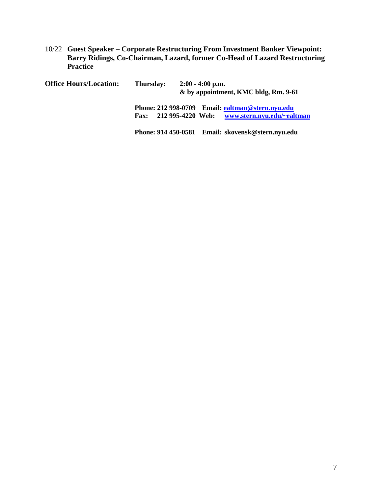10/22 **Guest Speaker – Corporate Restructuring From Investment Banker Viewpoint: Barry Ridings, Co-Chairman, Lazard, former Co-Head of Lazard Restructuring Practice**

| <b>Office Hours/Location:</b> | Thursday:   | $2:00 - 4:00$ p.m.<br>& by appointment, KMC bldg, Rm. 9-61 |  |                                                  |
|-------------------------------|-------------|------------------------------------------------------------|--|--------------------------------------------------|
|                               |             |                                                            |  | Phone: 212 998-0709 Email: ealtman@stern.nyu.edu |
|                               | <b>Fax:</b> | 212 995-4220 Web:                                          |  | www.stern.nyu.edu/~ealtman                       |
|                               |             |                                                            |  |                                                  |

**Phone: 914 450-0581 Email: skovensk@stern.nyu.edu**